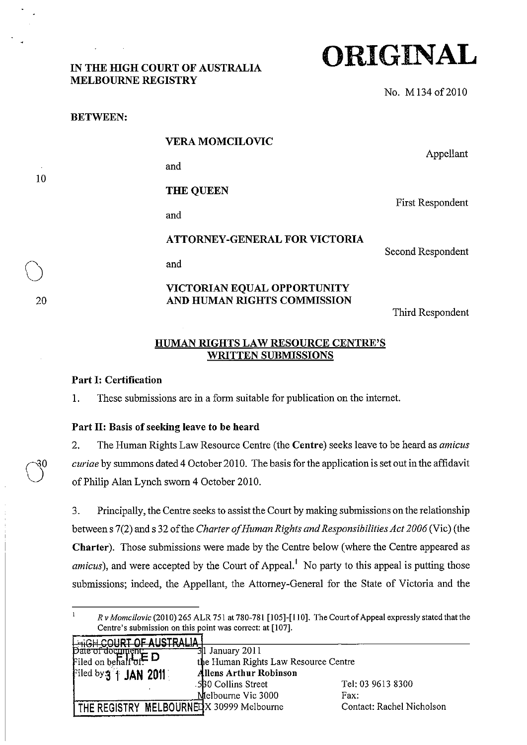### IN THE HIGH COURT OF AUSTRALIA MELBOURNE REGISTRY

**ORIGINAL** 

No. M 134 of 2010

| <b>BETWEEN:</b> |                                                            |                                              |
|-----------------|------------------------------------------------------------|----------------------------------------------|
|                 | <b>VERA MOMCILOVIC</b>                                     | Appellant                                    |
|                 | and                                                        |                                              |
|                 | <b>THE QUEEN</b>                                           | <b>First Respondent</b><br>Second Respondent |
|                 | and                                                        |                                              |
|                 | <b>ATTORNEY-GENERAL FOR VICTORIA</b>                       |                                              |
|                 | and                                                        |                                              |
|                 | VICTORIAN EQUAL OPPORTUNITY<br>AND HUMAN RIGHTS COMMISSION |                                              |

Third Respondent

### HUMAN RIGHTS LAW RESOURCE CENTRE'S WRITTEN SUBMISSIONS

#### Part I: Certification

1. These submissions are in a form suitable for publication on the internet.

### Part II: Basis of seeking leave to be heard

2. The Human Rights Law Resource Centre (the Centre) seeks leave to be heard as *amicus curiae* by summons dated 4 October 2010. The basis for the application is set out in the affidavit of Philip Alan Lynch sworn 4 October 2010.

3. Principally, the Centre seeks to assist the Court by making submissions on the relationship between s 7(2) and s 32 of the *Charter a/Human Rights and Responsibilities Act 2006* (Vic) (the Charter). Those submissions were made by the Centre below (where the Centre appeared as *amicus*), and were accepted by the Court of Appeal.<sup>1</sup> No party to this appeal is putting those submissions; indeed, the Appellant, the Attorney-General for the State of Victoria and the

 $\mathbf{1}$ *Rv Momcilovic* (2010) 265 ALR 751 at 780-781 [105]-[110]. The Court of Appeal expressly stated thatthe Centre's submission on this point was correct: at [107]. . '''u "'''"t "I: All~TCAIII\

| $\frac{1}{2}$ Date of document $\frac{1}{2}$       | $31$ January 2011                    |                           |  |
|----------------------------------------------------|--------------------------------------|---------------------------|--|
| Filed on behalf $\sigma$ f. $\Box$                 | the Human Rights Law Resource Centre |                           |  |
| Filed by 3 1 JAN 2011                              | <b>Allens Arthur Robinson</b>        |                           |  |
|                                                    | 530 Collins Street                   | Tel: 03 9613 8300         |  |
|                                                    | Melbourne Vic 3000                   | Fax:                      |  |
| <b>I THE REGISTRY MELBOURNED X 30999 Melbourne</b> |                                      | Contact: Rachel Nicholson |  |

20

30

10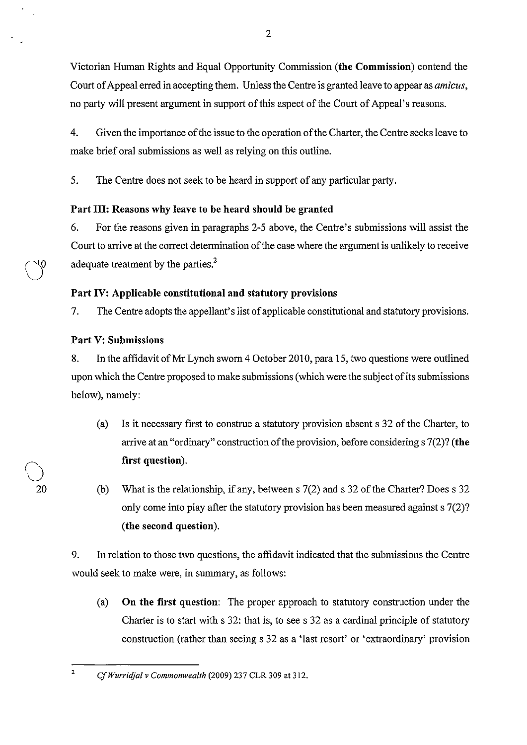Victorian Human Rights and Equal Opportunity Commission (the Commission) contend the Court of Appeal erred in accepting them. Unless the Centre is granted leave to appear as *amicus,*  no party will present argument in support of this aspect of the Court of Appeal's reasons.

4. Given the importance of the issue to the operation of the Charter, the Centre seeks leave to make brief oral submissions as well as relying on this outline.

5. The Centre does not seek to be heard in support of any particular party.

# Part III: Reasons why leave to be heard should be granted

6. For the reasons given in paragraphs 2-5 above, the Centre's submissions will assist the Court to arrive at the correct determination of the case where the argument is unlikely to receive adequate treatment by the parties. $<sup>2</sup>$ </sup>

# Part IV: Applicable constitutional and statutory provisions

7. The Centre adopts the appellant's list of applicable constitutional and statutory provisions.

# Part V: Submissions

()

20

8. In the affidavit of Mr Lynch sworn 4 October 2010, para 15, two questions were outlined upon which the Centre proposed to make submissions (which were the subject of its submissions below), namely:

- (a) Is it necessary first to construe a statutory provision absent s 32 of the Charter, to arrive at an "ordinary" construction of the provision, before considering s 7(2)? (the first question).
- (b) What is the relationship, if any, between s 7(2) and s 32 of the Charter? Does s 32 only come into play after the statutory provision has been measured against s 7(2)? (the second question).

9. In relation to those two questions, the affidavit indicated that the submissions the Centre would seek to make were, in summary, as follows:

(a) On the first question: The proper approach to statutory construction under the Charter is to start with s 32: that is, to see s 32 as a cardinal principle of statutory construction (rather than seeing s 32 as a 'last resort' or 'extraordinary' provision

<sup>2</sup>  *CfWurridjal* v *Commonwealth* (2009) 237 CLR 309 at 312.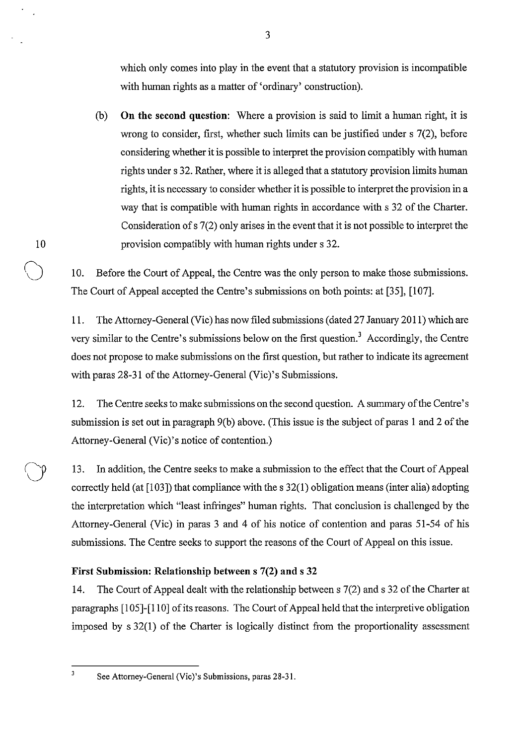which only comes into play in the event that a statutory provision is incompatible with human rights as a matter of 'ordinary' construction).

(b) On the second question: Where a provision is said to limit a human right, it is wrong to consider, first, whether such limits can be justified under s 7(2), before considering whether it is possible to interpret the provision compatibly with human rights under s 32. Rather, where it is alleged that a statutory provision limits human rights, it is necessary to consider whether it is possible to interpret the provision in a way that is compatible with human rights in accordance with s 32 of the Charter. Consideration of s 7(2) only arises in the event that it is not possible to interpret the 10 provision compatibly with human rights under s 32.

10. Before the Court of Appeal, the Centre was the only person to make those submissions. The Court of Appeal accepted the Centre's submissions on both points: at [35], [107].

11. The Attorney-General (Vic) has now filed submissions (dated 27 January 2011) which are very similar to the Centre's submissions below on the first question.3 Accordingly, the Centre does not propose to make submissions on the first question, but rather to indicate its agreement with paras 28-31 of the Attorney-General (Vic)'s Submissions.

12. The Centre seeks to make submissions on the second question. A sunnnary of the Centre's submission is set out in paragraph 9(b) above. (This issue is the subject of paras 1 and 2 of the Attorney-General (Vic)'s notice of contention.)

13. In addition, the Centre seeks to make a submission to the effect that the Court of Appeal correctly held (at [103]) that compliance with the s 32(1) obligation means (inter alia) adopting the interpretation which "least infringes" human rights. That conclusion is challenged by the Attorney-General (Vic) in paras 3 and 4 of his notice of contention and paras 51-54 of his submissions. The Centre seeks to support the reasons of the Court of Appeal on this issue.

# First Submission: Relationship between s 7(2) and s 32

14. The Court of Appeal dealt with the relationship between s 7(2) and s 32 of the Charter at paragraphs [105]-[110] of its reasons. The Court of Appeal held that the interpretive obligation imposed by s 32(1) of the Charter is logically distinct from the proportionality assessment

 $\overline{\mathbf{3}}$ 

See Attorney-General (Vie)'s Submissions, paras 28-31.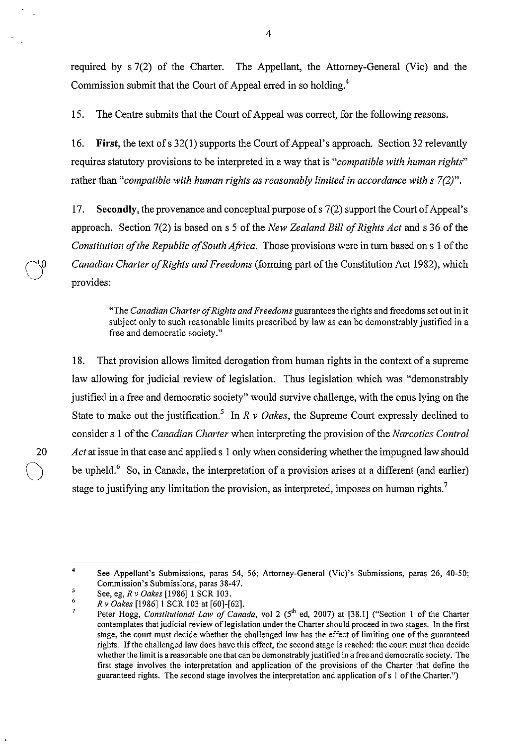required by s 7(2) of the Charter. The Appellant, the Attorney-General (Vic) and the Commission submit that the Court of Appeal erred in so holding.<sup>4</sup>

15. The Centre submits that the Court of Appeal was correct, for the following reasons.

16. **First,** the text of s 32(1) supports the Court of Appeal's approach. Section 32 relevantly requires statutory provisions to be interpreted in a way that is *"compatible with human rights"*  rather than "*compatible with human rights as reasonably limited in accordance with s* 7(2)".

17. Secondly, the provenance and conceptual purpose of s 7(2) support the Court of Appeal's approach. Section 7(2) is based on s 5 of the *New Zealand Bill of Rights Act* and s 36 of the *Constitution of the Republic of South Africa.* Those provisions were in turn based on s 1 of the *Canadian Charter of Rights and Freedoms* (forming part of the Constitution Act 1982), which provides:

"The *Canadian Charter olRights and Freedoms* guarantees the rights and freedoms set out in it subject only to such reasonable limits prescribed by law as can be demonstrably justified in a free and democratic society."

18. That provision allows limited derogation from human rights in the context of a supreme law allowing for judicial review of legislation. Thus legislation which was "demonstrably justified in a free and democratic society" would survive challenge, with the onus lying on the State to make out the justification.<sup>5</sup> In  $R \vee Oakes$ , the Supreme Court expressly declined to consider s 1 of the *Canadian Charter* when interpreting the provision of the *Narcotics Control*  20 *Act* at issue in that case and applied s 1 only when considering whether the impugned law should be upheld.<sup>6</sup> So, in Canada, the interpretation of a provision arises at a different (and earlier) stage to justifying any limitation the provision, as interpreted, imposes on human rights.<sup>7</sup>

 $\bigcirc$  $\cup$  .

<sup>4</sup>  See Appellant's Submissions, paras 54, 56; Attorney-General (Vic)'s Submissions, paras 26, 40-50; **Commission's Submissions, paras 38-47.** 

<sup>5</sup>  See, eg, *R* v *Oakes* [1986] I SCR 103.

<sup>6</sup>  *Rv Oakes* [1986] I SCR 103 at [60]-[62].

Peter Hogg, *Constitutional Law of Canada*, vol 2 (5<sup>th</sup> ed, 2007) at [38.1] ("Section 1 of the Charter contemplates that judicial review oflegislation under the Charter should proceed in two stages. In the first stage, the court must decide whether the challenged law has the effect of limiting one of the guaranteed rights. If the challenged law does have this effect, the second stage is reached: the court must then decide whether the limit is a reasonable one that can be demonstrably justified in a free and democratic society. The first stage involves the interpretation and application of the provisions of the Charter that define the guaranteed rights. The second stage involves the interpretation and application of s I of the Charter.")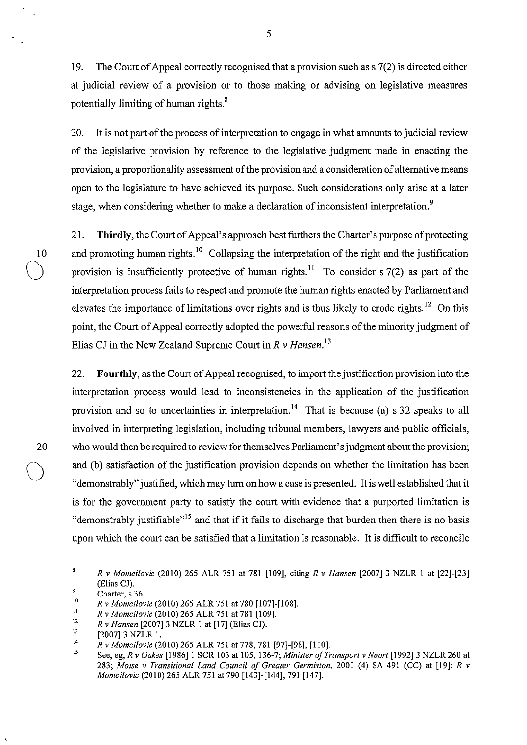19. The Court of Appeal correctly recognised that a provision such as s 7(2) is directed either at judicial review of a provision or to those making or advising on legislative measures potentially limiting of human rights.<sup>8</sup>

5

20. It is not part of the process of interpretation to engage in what amounts to judicial review of the legislative provision by reference to the legislative judgment made in enacting the provision, a proportionality assessment of the provision and a consideration of alternative means open to the legislature to have achieved its purpose. Such considerations only arise at a later stage, when considering whether to make a declaration of inconsistent interpretation.<sup>9</sup>

21. **Thirdly,** the Court of Appeal's approach best furthers the Charter's purpose of protecting 10 and promoting human rights.<sup>10</sup> Collapsing the interpretation of the right and the justification provision is insufficiently protective of human rights.<sup>11</sup> To consider s 7(2) as part of the interpretation process fails to respect and promote the human rights enacted by Parliament and elevates the importance of limitations over rights and is thus likely to erode rights. 12 On this point, the Court of Appeal correctly adopted the powerful reasons of the minority judgment of Elias CJ in the New Zealand Supreme Court in *R* v *Hansen. <sup>13</sup>*

22. **Fourthly,** as the Court of Appeal recognised, to import the justification provision into the interpretation process would lead to inconsistencies in the application of the justification provision and so to uncertainties in interpretation.<sup>14</sup> That is because (a) s 32 speaks to all involved in interpreting legislation, including tribunal members, lawyers and public officials, who would then be required to review for themselves Parliament's judgment about the provision; and (b) satisfaction of the justification provision depends on whether the limitation has been "demonstrably" justified, which may turn on how a case is presented. It is well established that it is for the government party to satisfy the court with evidence that a purported limitation is "demonstrably justifiable"<sup>15</sup> and that if it fails to discharge that burden then there is no basis upon which the court can be satisfied that a limitation is reasonable. It is difficult to reconcile

20

 $\bigcirc$ 

 $\bf 8$ *Rv Momcilovic* (2010) 265 ALR 751 at 781 [109], citing *R* v *Hansen* [2007] 3 NZLR I at [22]-[23] (Elias Cl). 9

Charter, s 36.

<sup>10</sup>  *Rv Momcilovic* (2010) 265ALR 751 at 780 [107]-[108].

<sup>11</sup>  *Rv Momcilovic* (2010) 265 ALR 751 at 781 [109].

<sup>12</sup>  13 *Rv Hansen* [2007] 3 NZLR I at [17] (Elias Cl).

<sup>[2007] 3</sup> NZLR 1.

<sup>14</sup>  *Rv Momcilovic* (2010) 265 ALR 751 at 778, 781 [97]-[98], [110].

IS See, eg, *R* v *Oakes* [1986]1 SCR 103 at 105, 136-7; *Minister o/Transport* v *Noort* [1992] 3 NZLR 260 at *283; Moise* v *Transitional Land Council 0/ Greater Germiston,* 2001 (4) SA 491 (CC) at [19]; *R* v *Momcilovic* (2010) 265 ALR 751 at 790 [143]-[144], 791 [147].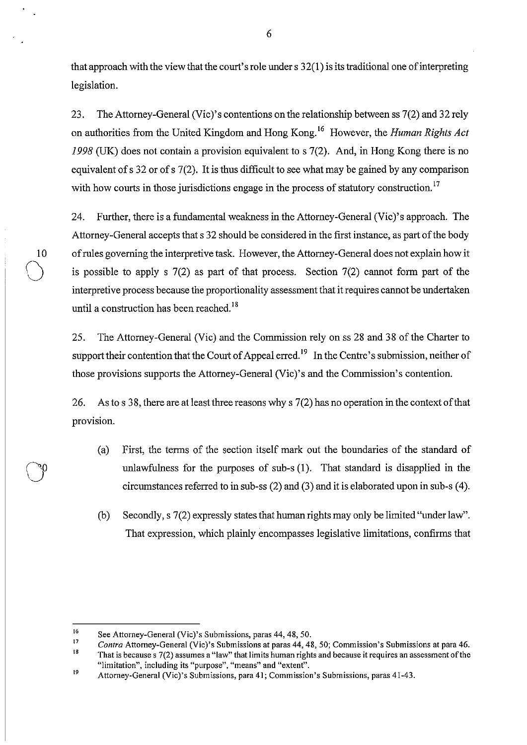that approach with the view that the court's role under s 32(1) is its traditional one of interpreting legislation.

23. The Attorney-General (Vie)'s contentions on the relationship between ss 7(2) and 32 rely on authorities from the United Kingdom and Hong Kong. 16 However, the *Human Rights Act*  1998 (UK) does not contain a provision equivalent to s 7(2). And, in Hong Kong there is no equivalent of s 32 or of s 7(2). It is thus difficult to see what may be gained by any comparison with how courts in those jurisdictions engage in the process of statutory construction.<sup>17</sup>

24. Further, there is a fundamental weakness in the Attorney-General (Vic)'s approach. The Attorney-General accepts that s 32 should be considered in the first instance, as part of the body 10 of rules governing the interpretive task. However, the Attorney-General does not explain how it is possible to apply s  $7(2)$  as part of that process. Section  $7(2)$  cannot form part of the interpretive process because the proportionality assessment that it requires cannot be undertaken until a construction has been reached.<sup>18</sup>

25. The Attorney-General (Vic) and the Commission rely on ss 28 and 38 of the Charter to support their contention that the Court of Appeal erred.<sup>19</sup> In the Centre's submission, neither of those provisions supports the Attorney-General (Vic)'s and the Commission's contention.

26. As to s 38, there are at least three reasons why s 7(2) has no operation in the context of that provision.

- (a) First, the terms of the section itself mark out the boundaries of the standard of unlawfulness for the purposes of sub-s (1). That standard is disapplied in the circumstances referred to in sub-ss (2) and (3) and it is elaborated upon in sub-s (4).
- (b) Secondly, s 7(2) expressly states that human rights may only be limited "under law". That expression, which plainly encompasses legislative limitations, confirms that

 $\bigcirc$ 

6

<sup>16</sup>  See Attorney-General (Vie)'s Submissions, paras 44, 48, 50.

<sup>17</sup>  *Contra* Attorney-General (Vie)'s Submissions at paras 44, 48, 50; Commission's Submissions at para 46.

<sup>18</sup>  19 **That is because s 7(2) assumes a "law" that limits human rights and because it requires an assessment ofthe "limitation", including its "purpose", "means" and "extent".** 

Attorney-General (Vie)'s Submissions, para 41; Commission's Submissions, paras 41-43.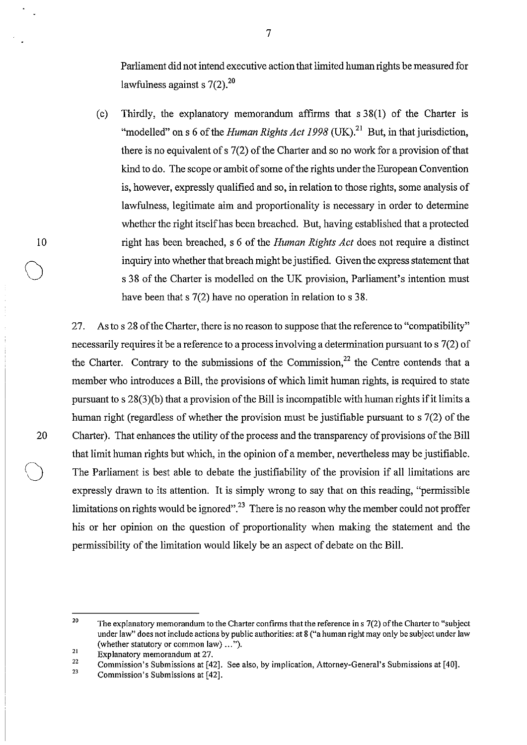Parliament did not intend executive action that limited human rights be measured for lawfulness against s  $7(2).^{20}$ 

(c) Thirdly, the explanatory memorandum affirms that  $s$  38(1) of the Charter is "modelled" on s 6 of the *Human Rights Act 1998* (UK).<sup>21</sup> But, in that jurisdiction, there is no equivalent of s 7(2) of the Charter and so no work for a provision of that kind to do. The scope or ambit of some of the rights under the European Convention is, however, expressly qualified and so, in relation to those rights, some analysis of lawfulness, legitimate aim and proportionality is necessary in order to determine whether the right itself has been breached. But, having established that a protected right has been breached, s 6 of the *Human Rights Act* does not require a distinct inquiry into whether that breach might be justified. Given the express statement that s 38 of the Charter is modelled on the UK provision, Parliament's intention must have been that s 7(2) have no operation in relation to s 38.

27. As to s 28 of the Charter, there is no reason to suppose that the reference to "compatibility" necessarily requires it be a reference to a process involving a determination pursuant to s 7(2) of the Charter. Contrary to the submissions of the Commission,  $2^2$  the Centre contends that a member who introduces a Bill, the provisions of which limit human rights, is required to state pursuant to s  $28(3)(b)$  that a provision of the Bill is incompatible with human rights if it limits a human right (regardless of whether the provision must be justifiable pursuant to s 7(2) of the 20 Charter). That enhances the utility of the process and the transparency of provisions of the Bill that limit human rights but which, in the opinion of a member, nevertheless may be justifiable. The Parliament is best able to debate the justifiability of the provision if all limitations are expressly drawn to its attention. It is simply wrong to say that on this reading, "permissible limitations on rights would be ignored".<sup>23</sup> There is no reason why the member could not proffer his or her opinion on the question of proportionality when making the statement and the permissibility of the limitation would likely be an aspect of debate on the Bill.

10

 $\bigcirc$ 

<sup>20</sup>  The explanatory memorandum to the Charter confirms that the reference in s 7(2) of the Charter to "subject under law" does not include actions by public authorities: at 8 ("a human right may only be subject under law (whether statutory or common law) ... ").

<sup>21</sup>  Explanatory memorandum at 27.

<sup>22</sup>  23 Commission's Submissions at [42]. See also, by implication, Attorney-General's Submissions at [40].

Commission's Submissions at [42].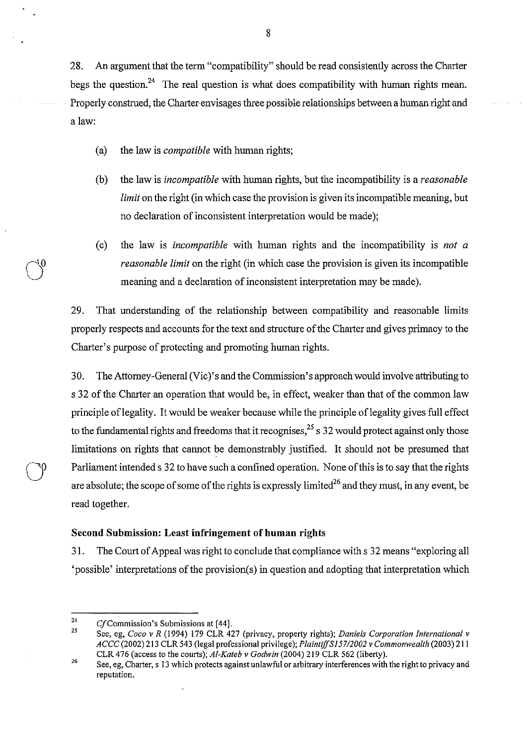28. An argument that the term "compatibility" should be read consistently across the Charter begs the question.<sup>24</sup> The real question is what does compatibility with human rights mean. Properly construed, the Charter-envisages three possible relationships between a human right and a law:

- (a) the law is *compatible* with human rights;
- (b) the law is *incompatible* with human rights, but the incompatibility is a *reasonable limit* on the right (in which case the provision is given its incompatible meaning, but no declaration of inconsistent interpretation would be made);
- (c) the law is *incompatible* with human rights and the incompatibility is *not a reasonable limit* on the right (in which case the provision is given its incompatible meaning and a declaration of inconsistent interpretation may be made).

29. That understanding of the relationship between compatibility and reasonable limits properly respects and accounts for the text and structure of the Charter and gives primacy to the Charter's purpose of protecting and promoting human rights.

30. The Attorney-General (Vic)'s and the Commission's approach would involve attributing to s 32 of the Charter an operation that would be, in effect, weaker than that of the common law principle of legality. It would be weaker because while the principle of legality gives full effect to the fundamental rights and freedoms that it recognises,  $2<sup>5</sup>$  s 32 would protect against only those limitations on rights that cannot be demonstrably justified. It should not be presumed that Parliament intended s 32 to have such a confined operation. None of this is to say that the rights are absolute; the scope of some of the rights is expressly limited<sup>26</sup> and they must, in any event, be read together.

#### **Second Submission: Least infringement of** human **rights**

31. The Court of Appeal was right to conclude that compliance with s 32 means "exploring all 'possible' interpretations of the provision(s) in question and adopting that interpretation which

<sup>24</sup>  Cf Commission's Submissions at [44].

<sup>25</sup>  See, eg, *Coca* v *R* (1994) 179 CLR 427 (privacy, property rights); *Daniels Corporation International* v *ACCC* (2002) 213 CLR 543 (legal professional privilege); *PlaintiffS] 5712002* v *Commonwealth* (2003) 211 CLR 476 (access to the courts); Al-Kateb v Godwin (2004) 219 CLR 562 (liberty).

<sup>26</sup>  See, eg, Charter, s 13 which protects against unlawful or arbitrary interferences with the right *to* privacy and **reputation.**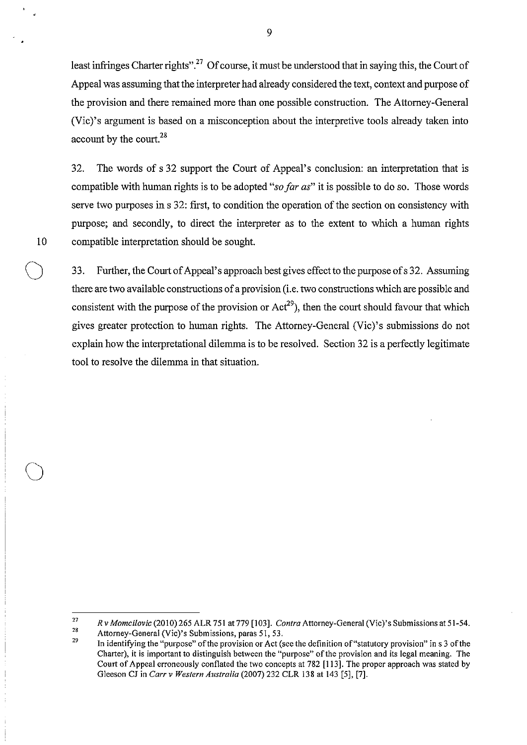least infringes Charter rights".<sup>27</sup> Of course, it must be understood that in saying this, the Court of Appeal was assuming that the interpreter had already considered the text, context and purpose of the provision and there remained more than one possible construction. The Attorney-General (Vic)'s argument is based on a misconception about the interpretive tools already taken into account by the court. $^{28}$ 

32. The words of s 32 support the Court of Appeal's conclusion: an interpretation that is compatible with human rights is to be adopted *"so far as"* it is possible to do so. Those words serve two purposes in s 32: first, to condition the operation of the section on consistency with purpose; and secondly, to direct the interpreter as to the extent to which a human rights 10 compatible interpretation should be sought.

33. Further, the Court of Appeal's approach best gives effect to the purpose of s 32. Assuming there are two available constructions of a provision (i.e. two constructions which are possible and consistent with the purpose of the provision or  $Act^{29}$ , then the court should favour that which gives greater protection to human rights. The Attorney-General (Vic)'s submissions do not explain how the interpretational dilemma is to be resolved. Section 32 is a perfectly legitimate tool to resolve the dilemma in that situation.

 $\bigcirc$ 

<sup>27</sup>  28 *Rv Momcilovic* (2010) 265 ALR 751 at 779 [103]. *Contra* Attorney-General (Vic)'s Submissions at 51-54.

Attorney-General (Vic)'s Submissions, paras 51,53.

<sup>29</sup>  In identifying the "purpose" of the provision or Act (see the definition of "statutory provision" in s 3 of the Charter), it is important to distinguish between the "purpose" of the provision and its legal meaning. The Court of Appeal erroneously conflated the two concepts at 782 [113]. The proper approach was stated by Gleeson CJ in *Carr* v *Western Australia* (2007) 232 CLR 138 at 143 [5], [7].